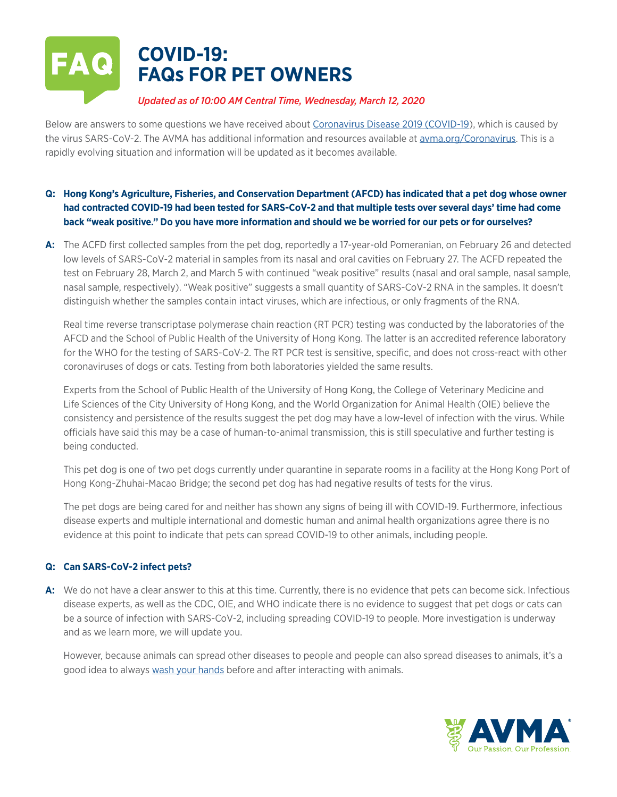# **COVID-19: FAQs FOR PET OWNERS**

# *Updated as of 10:00 AM Central Time, Wednesday, March 12, 2020*

Below are answers to some questions we have received about [Coronavirus Disease 2019 \(COVID-19\)](https://www.cdc.gov/coronavirus/2019-nCoV/summary.html), which is caused by the virus SARS-CoV-2. The AVMA has additional information and resources available at [avma.org/Coronavirus.](http://www.avma.org/resources-tools/animal-health-and-welfare/covid-19) This is a rapidly evolving situation and information will be updated as it becomes available.

# **Q: Hong Kong's Agriculture, Fisheries, and Conservation Department (AFCD) has indicated that a pet dog whose owner had contracted COVID-19 had been tested for SARS-CoV-2 and that multiple tests over several days' time had come back "weak positive." Do you have more information and should we be worried for our pets or for ourselves?**

**A:** The ACFD first collected samples from the pet dog, reportedly a 17-year-old Pomeranian, on February 26 and detected low levels of SARS-CoV-2 material in samples from its nasal and oral cavities on February 27. The ACFD repeated the test on February 28, March 2, and March 5 with continued "weak positive" results (nasal and oral sample, nasal sample, nasal sample, respectively). "Weak positive" suggests a small quantity of SARS-CoV-2 RNA in the samples. It doesn't distinguish whether the samples contain intact viruses, which are infectious, or only fragments of the RNA.

Real time reverse transcriptase polymerase chain reaction (RT PCR) testing was conducted by the laboratories of the AFCD and the School of Public Health of the University of Hong Kong. The latter is an accredited reference laboratory for the WHO for the testing of SARS-CoV-2. The RT PCR test is sensitive, specific, and does not cross-react with other coronaviruses of dogs or cats. Testing from both laboratories yielded the same results.

Experts from the School of Public Health of the University of Hong Kong, the College of Veterinary Medicine and Life Sciences of the City University of Hong Kong, and the World Organization for Animal Health (OIE) believe the consistency and persistence of the results suggest the pet dog may have a low-level of infection with the virus. While officials have said this may be a case of human-to-animal transmission, this is still speculative and further testing is being conducted.

This pet dog is one of two pet dogs currently under quarantine in separate rooms in a facility at the Hong Kong Port of Hong Kong-Zhuhai-Macao Bridge; the second pet dog has had negative results of tests for the virus.

The pet dogs are being cared for and neither has shown any signs of being ill with COVID-19. Furthermore, infectious disease experts and multiple international and domestic human and animal health organizations agree there is no evidence at this point to indicate that pets can spread COVID-19 to other animals, including people.

## **Q: Can SARS-CoV-2 infect pets?**

**A:** We do not have a clear answer to this at this time. Currently, there is no evidence that pets can become sick. Infectious disease experts, as well as the CDC, OIE, and WHO indicate there is no evidence to suggest that pet dogs or cats can be a source of infection with SARS-CoV-2, including spreading COVID-19 to people. More investigation is underway and as we learn more, we will update you.

However, because animals can spread other diseases to people and people can also spread diseases to animals, it's a good idea to always [wash your hands](http://www.cdc.gov/handwashing/) before and after interacting with animals.

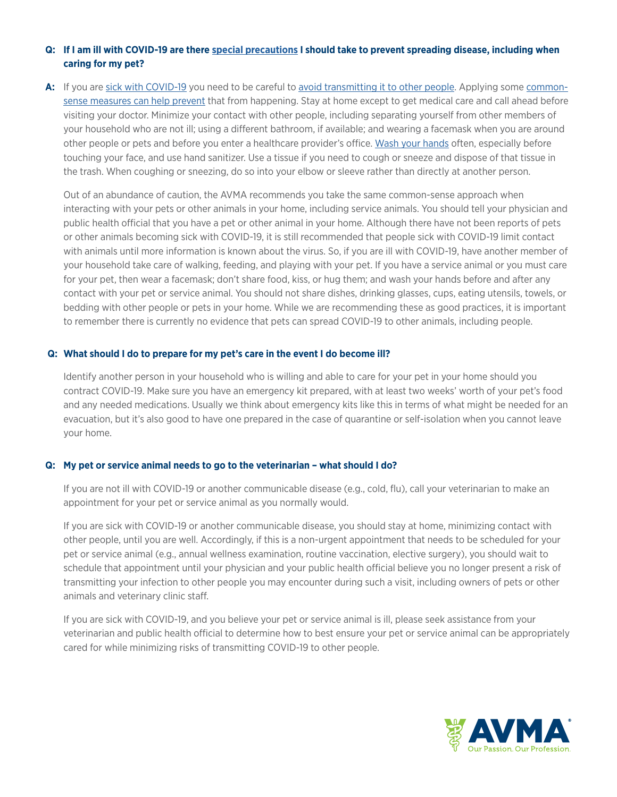## **Q: If I am ill with COVID-19 are there [special precautions](http://www.cdc.gov/coronavirus/2019-ncov/php/interim-guidance-managing-people-in-home-care-and-isolation-who-have-pets.html) I should take to prevent spreading disease, including when caring for my pet?**

**A:** If you are [sick with COVID-19](http://www.cdc.gov/coronavirus/2019-ncov/about/symptoms.html) you need to be careful to [avoid transmitting it to other people.](http://www.cdc.gov/coronavirus/2019-ncov/about/transmission.html) Applying some [common](http://www.cdc.gov/coronavirus/2019-ncov/about/steps-when-sick.html)[sense measures can help prevent](http://www.cdc.gov/coronavirus/2019-ncov/about/steps-when-sick.html) that from happening. Stay at home except to get medical care and call ahead before visiting your doctor. Minimize your contact with other people, including separating yourself from other members of your household who are not ill; using a different bathroom, if available; and wearing a facemask when you are around other people or pets and before you enter a healthcare provider's office. [Wash your hands](http://www.cdc.gov/handwashing/) often, especially before touching your face, and use hand sanitizer. Use a tissue if you need to cough or sneeze and dispose of that tissue in the trash. When coughing or sneezing, do so into your elbow or sleeve rather than directly at another person.

Out of an abundance of caution, the AVMA recommends you take the same common-sense approach when interacting with your pets or other animals in your home, including service animals. You should tell your physician and public health official that you have a pet or other animal in your home. Although there have not been reports of pets or other animals becoming sick with COVID-19, it is still recommended that people sick with COVID-19 limit contact with animals until more information is known about the virus. So, if you are ill with COVID-19, have another member of your household take care of walking, feeding, and playing with your pet. If you have a service animal or you must care for your pet, then wear a facemask; don't share food, kiss, or hug them; and wash your hands before and after any contact with your pet or service animal. You should not share dishes, drinking glasses, cups, eating utensils, towels, or bedding with other people or pets in your home. While we are recommending these as good practices, it is important to remember there is currently no evidence that pets can spread COVID-19 to other animals, including people.

#### **Q: What should I do to prepare for my pet's care in the event I do become ill?**

Identify another person in your household who is willing and able to care for your pet in your home should you contract COVID-19. Make sure you have an emergency kit prepared, with at least two weeks' worth of your pet's food and any needed medications. Usually we think about emergency kits like this in terms of what might be needed for an evacuation, but it's also good to have one prepared in the case of quarantine or self-isolation when you cannot leave your home.

## **Q: My pet or service animal needs to go to the veterinarian – what should I do?**

If you are not ill with COVID-19 or another communicable disease (e.g., cold, flu), call your veterinarian to make an appointment for your pet or service animal as you normally would.

If you are sick with COVID-19 or another communicable disease, you should stay at home, minimizing contact with other people, until you are well. Accordingly, if this is a non-urgent appointment that needs to be scheduled for your pet or service animal (e.g., annual wellness examination, routine vaccination, elective surgery), you should wait to schedule that appointment until your physician and your public health official believe you no longer present a risk of transmitting your infection to other people you may encounter during such a visit, including owners of pets or other animals and veterinary clinic staff.

If you are sick with COVID-19, and you believe your pet or service animal is ill, please seek assistance from your veterinarian and public health official to determine how to best ensure your pet or service animal can be appropriately cared for while minimizing risks of transmitting COVID-19 to other people.